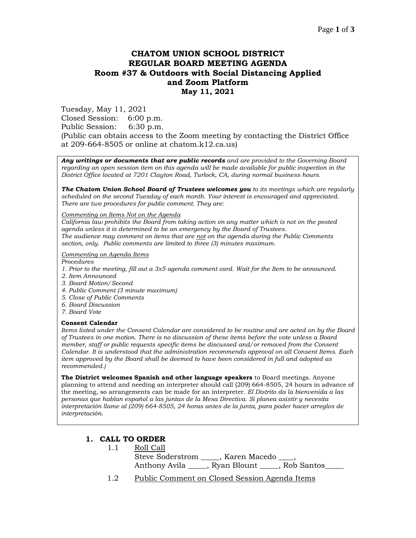# **CHATOM UNION SCHOOL DISTRICT REGULAR BOARD MEETING AGENDA Room #37 & Outdoors with Social Distancing Applied and Zoom Platform May 11, 2021**

Tuesday, May 11, 2021 Closed Session: 6:00 p.m. Public Session: 6:30 p.m. (Public can obtain access to the Zoom meeting by contacting the District Office at 209-664-8505 or online at chatom.k12.ca.us)

*Any writings or documents that are public records and are provided to the Governing Board regarding an open session item on this agenda will be made available for public inspection in the District Office located at 7201 Clayton Road, Turlock, CA, during normal business hours.*

*The Chatom Union School Board of Trustees welcomes you to its meetings which are regularly scheduled on the second Tuesday of each month. Your interest is encouraged and appreciated. There are two procedures for public comment. They are:*

#### *Commenting on Items Not on the Agenda*

*California law prohibits the Board from taking action on any matter which is not on the posted agenda unless it is determined to be an emergency by the Board of Trustees. The audience may comment on items that are not on the agenda during the Public Comments section, only. Public comments are limited to three (3) minutes maximum.*

#### *Commenting on Agenda Items*

*Procedures* 

- *1. Prior to the meeting, fill out a 3x5 agenda comment card. Wait for the Item to be announced.*
- *2. Item Announced*
- *3. Board Motion/Second*
- *4. Public Comment (3 minute maximum)*
- *5. Close of Public Comments*
- *6. Board Discussion*
- *7. Board Vote*

#### **Consent Calendar**

*Items listed under the Consent Calendar are considered to be routine and are acted on by the Board of Trustees in one motion. There is no discussion of these items before the vote unless a Board member, staff or public requests specific items be discussed and/or removed from the Consent Calendar. It is understood that the administration recommends approval on all Consent Items. Each item approved by the Board shall be deemed to have been considered in full and adopted as recommended.)*

**The District welcomes Spanish and other language speakers** to Board meetings. Anyone planning to attend and needing an interpreter should call (209) 664-8505, 24 hours in advance of the meeting, so arrangements can be made for an interpreter. *El Distrito da la bienvenida a las personas que hablan español a las juntas de la Mesa Directiva. Si planea asistir y necesita interpretación llame al (209) 664-8505, 24 horas antes de la junta, para poder hacer arreglos de interpretación.*

## **1. CALL TO ORDER**

- 1.1 Roll Call Steve Soderstrom \_\_\_\_, Karen Macedo Anthony Avila \_\_\_\_\_, Ryan Blount \_\_\_\_\_, Rob Santos\_\_\_\_\_
- 1.2 Public Comment on Closed Session Agenda Items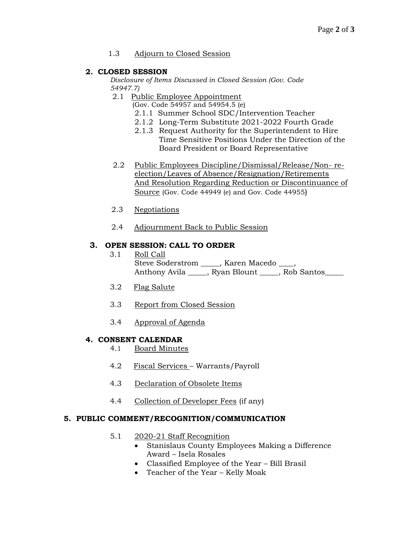### 1.3 Adjourn to Closed Session

### **2. CLOSED SESSION**

*Disclosure of Items Discussed in Closed Session (Gov. Code 54947.7)*

2.1 Public Employee Appointment

(Gov. Code 54957 and 54954.5 (e)

- 2.1.1 Summer School SDC/Intervention Teacher
- 2.1.2 Long-Term Substitute 2021-2022 Fourth Grade
- 2.1.3 Request Authority for the Superintendent to Hire Time Sensitive Positions Under the Direction of the Board President or Board Representative
- 2.2 Public Employees Discipline/Dismissal/Release/Non- reelection/Leaves of Absence/Resignation/Retirements And Resolution Regarding Reduction or Discontinuance of Source (Gov. Code 44949 (e) and Gov. Code 44955)
- 2.3 Negotiations
- 2.4 Adjournment Back to Public Session

### **3. OPEN SESSION: CALL TO ORDER**

- 3.1 Roll Call Steve Soderstrom \_\_\_\_\_, Karen Macedo \_\_ Anthony Avila \_\_\_\_\_, Ryan Blount \_\_\_\_\_, Rob Santos
- 3.2 Flag Salute
- 3.3 Report from Closed Session
- 3.4 Approval of Agenda

## **4. CONSENT CALENDAR**

- 4.1 Board Minutes
- 4.2 Fiscal Services Warrants/Payroll
- 4.3 Declaration of Obsolete Items
- 4.4 Collection of Developer Fees (if any)

#### **5. PUBLIC COMMENT/RECOGNITION/COMMUNICATION**

- 5.1 2020-21 Staff Recognition
	- Stanislaus County Employees Making a Difference Award – Isela Rosales
		- Classified Employee of the Year Bill Brasil
	- Teacher of the Year Kelly Moak